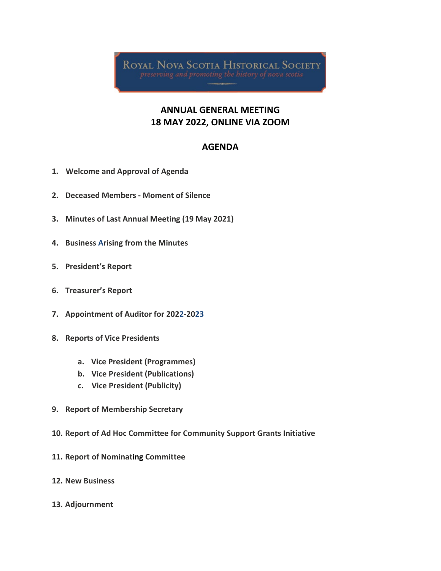**ROYAL NOVA SCOTIA HISTORICAL SOCIETY** 

## **ANNUAL GENERAL MEETING 18 MAY 2022, ONLINE VIA ZOOM**

## **AGENDA**

- **1. Welcome and Approval of Agenda**
- **2. Deceased Members - Moment of Silence**
- **3. Minutes of Last Annual Meeting (19 May 2021)**
- **4. Business Arising from the Minutes**
- **5. President's Report**
- **6. Treasurer's Report**
- **7. Appointment of Auditor for 2022-2023**
- **8. Reports of Vice Presidents**
	- **a. Vice President (Programmes)**
	- **b. Vice President (Publications)**
	- **c. Vice President (Publicity)**
- **9. Report of Membership Secretary**
- **10. Report of Ad Hoc Committee for Community Support Grants Initiative**
- **11. Report of Nominating Committee**
- **12. New Business**
- **13. Adjournment**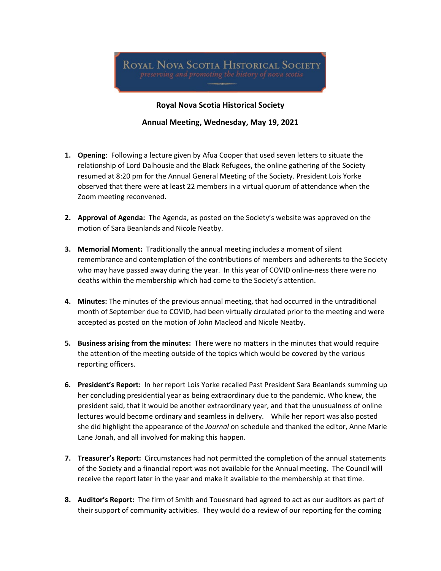#### **Royal Nova Scotia Historical Society**

#### **Annual Meeting, Wednesday, May 19, 2021**

- **1. Opening**: Following a lecture given by Afua Cooper that used seven letters to situate the relationship of Lord Dalhousie and the Black Refugees, the online gathering of the Society resumed at 8:20 pm for the Annual General Meeting of the Society. President Lois Yorke observed that there were at least 22 members in a virtual quorum of attendance when the Zoom meeting reconvened.
- **2. Approval of Agenda:** The Agenda, as posted on the Society's website was approved on the motion of Sara Beanlands and Nicole Neatby.
- **3. Memorial Moment:** Traditionally the annual meeting includes a moment of silent remembrance and contemplation of the contributions of members and adherents to the Society who may have passed away during the year. In this year of COVID online-ness there were no deaths within the membership which had come to the Society's attention.
- **4. Minutes:** The minutes of the previous annual meeting, that had occurred in the untraditional month of September due to COVID, had been virtually circulated prior to the meeting and were accepted as posted on the motion of John Macleod and Nicole Neatby.
- **5. Business arising from the minutes:** There were no matters in the minutes that would require the attention of the meeting outside of the topics which would be covered by the various reporting officers.
- **6. President's Report:** In her report Lois Yorke recalled Past President Sara Beanlands summing up her concluding presidential year as being extraordinary due to the pandemic. Who knew, the president said, that it would be another extraordinary year, and that the unusualness of online lectures would become ordinary and seamless in delivery. While her report was also posted she did highlight the appearance of the *Journal* on schedule and thanked the editor, Anne Marie Lane Jonah, and all involved for making this happen.
- **7. Treasurer's Report:** Circumstances had not permitted the completion of the annual statements of the Society and a financial report was not available for the Annual meeting. The Council will receive the report later in the year and make it available to the membership at that time.
- **8. Auditor's Report:** The firm of Smith and Touesnard had agreed to act as our auditors as part of their support of community activities. They would do a review of our reporting for the coming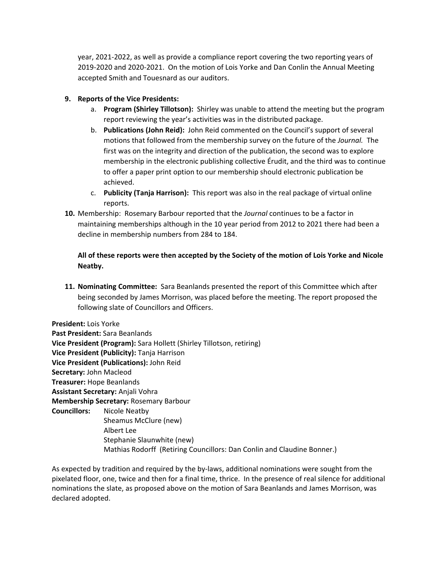year, 2021-2022, as well as provide a compliance report covering the two reporting years of 2019-2020 and 2020-2021. On the motion of Lois Yorke and Dan Conlin the Annual Meeting accepted Smith and Touesnard as our auditors.

### **9. Reports of the Vice Presidents:**

- a. **Program (Shirley Tillotson):** Shirley was unable to attend the meeting but the program report reviewing the year's activities was in the distributed package.
- b. **Publications (John Reid):** John Reid commented on the Council's support of several motions that followed from the membership survey on the future of the *Journal.* The first was on the integrity and direction of the publication, the second was to explore membership in the electronic publishing collective Érudit, and the third was to continue to offer a paper print option to our membership should electronic publication be achieved.
- c. **Publicity (Tanja Harrison):** This report was also in the real package of virtual online reports.
- **10.** Membership: Rosemary Barbour reported that the *Journal* continues to be a factor in maintaining memberships although in the 10 year period from 2012 to 2021 there had been a decline in membership numbers from 284 to 184.

### **All of these reports were then accepted by the Society of the motion of Lois Yorke and Nicole Neatby.**

**11. Nominating Committee:** Sara Beanlands presented the report of this Committee which after being seconded by James Morrison, was placed before the meeting. The report proposed the following slate of Councillors and Officers.

**President:** Lois Yorke **Past President:** Sara Beanlands **Vice President (Program):** Sara Hollett (Shirley Tillotson, retiring) **Vice President (Publicity):** Tanja Harrison **Vice President (Publications):** John Reid **Secretary:** John Macleod **Treasurer:** Hope Beanlands **Assistant Secretary:** Anjali Vohra **Membership Secretary:** Rosemary Barbour **Councillors:** Nicole Neatby Sheamus McClure (new) Albert Lee Stephanie Slaunwhite (new) Mathias Rodorff (Retiring Councillors: Dan Conlin and Claudine Bonner.)

As expected by tradition and required by the by-laws, additional nominations were sought from the pixelated floor, one, twice and then for a final time, thrice. In the presence of real silence for additional nominations the slate, as proposed above on the motion of Sara Beanlands and James Morrison, was declared adopted.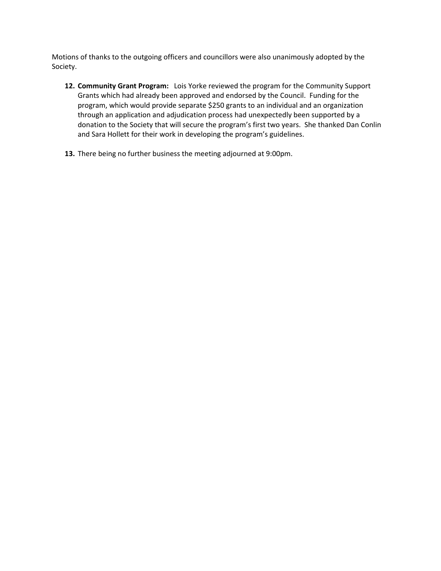Motions of thanks to the outgoing officers and councillors were also unanimously adopted by the Society.

- **12. Community Grant Program:** Lois Yorke reviewed the program for the Community Support Grants which had already been approved and endorsed by the Council. Funding for the program, which would provide separate \$250 grants to an individual and an organization through an application and adjudication process had unexpectedly been supported by a donation to the Society that will secure the program's first two years. She thanked Dan Conlin and Sara Hollett for their work in developing the program's guidelines.
- **13.** There being no further business the meeting adjourned at 9:00pm.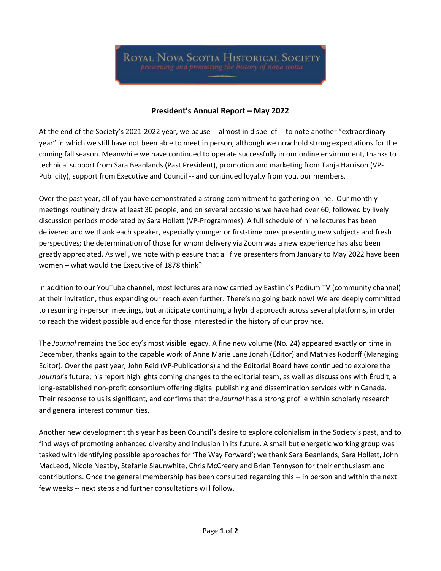### **President's Annual Report – May 2022**

At the end of the Society's 2021-2022 year, we pause -- almost in disbelief -- to note another "extraordinary year" in which we still have not been able to meet in person, although we now hold strong expectations for the coming fall season. Meanwhile we have continued to operate successfully in our online environment, thanks to technical support from Sara Beanlands (Past President), promotion and marketing from Tanja Harrison (VP-Publicity), support from Executive and Council -- and continued loyalty from you, our members.

Over the past year, all of you have demonstrated a strong commitment to gathering online. Our monthly meetings routinely draw at least 30 people, and on several occasions we have had over 60, followed by lively discussion periods moderated by Sara Hollett (VP-Programmes). A full schedule of nine lectures has been delivered and we thank each speaker, especially younger or first-time ones presenting new subjects and fresh perspectives; the determination of those for whom delivery via Zoom was a new experience has also been greatly appreciated. As well, we note with pleasure that all five presenters from January to May 2022 have been women – what would the Executive of 1878 think?

In addition to our YouTube channel, most lectures are now carried by Eastlink's Podium TV (community channel) at their invitation, thus expanding our reach even further. There's no going back now! We are deeply committed to resuming in-person meetings, but anticipate continuing a hybrid approach across several platforms, in order to reach the widest possible audience for those interested in the history of our province.

The *Journal* remains the Society's most visible legacy. A fine new volume (No. 24) appeared exactly on time in December, thanks again to the capable work of Anne Marie Lane Jonah (Editor) and Mathias Rodorff (Managing Editor). Over the past year, John Reid (VP-Publications) and the Editorial Board have continued to explore the *Journal*'s future; his report highlights coming changes to the editorial team, as well as discussions with Érudit, a long-established non-profit consortium offering digital publishing and dissemination services within Canada. Their response to us is significant, and confirms that the *Journal* has a strong profile within scholarly research and general interest communities.

Another new development this year has been Council's desire to explore colonialism in the Society's past, and to find ways of promoting enhanced diversity and inclusion in its future. A small but energetic working group was tasked with identifying possible approaches for 'The Way Forward'; we thank Sara Beanlands, Sara Hollett, John MacLeod, Nicole Neatby, Stefanie Slaunwhite, Chris McCreery and Brian Tennyson for their enthusiasm and contributions. Once the general membership has been consulted regarding this -- in person and within the next few weeks -- next steps and further consultations will follow.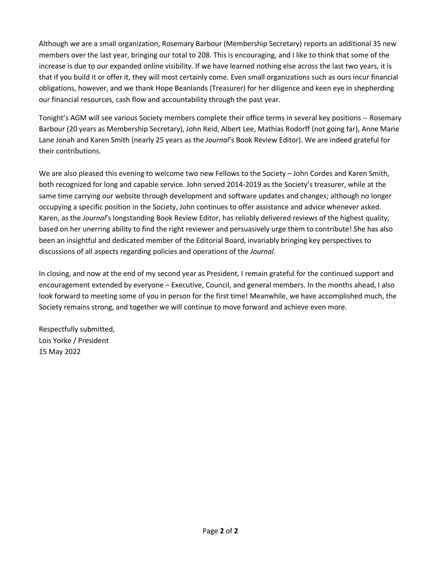Although we are a small organization, Rosemary Barbour (Membership Secretary) reports an additional 35 new members over the last year, bringing our total to 208. This is encouraging, and I like to think that some of the increase is due to our expanded online visibility. If we have learned nothing else across the last two years, it is that if you build it or offer it, they will most certainly come. Even small organizations such as ours incur financial obligations, however, and we thank Hope Beanlands (Treasurer) for her diligence and keen eye in shepherding our financial resources, cash flow and accountability through the past year.

Tonight's AGM will see various Society members complete their office terms in several key positions -- Rosemary Barbour (20 years as Membership Secretary), John Reid, Albert Lee, Mathias Rodorff (not going far), Anne Marie Lane Jonah and Karen Smith (nearly 25 years as the *Journal*'s Book Review Editor). We are indeed grateful for their contributions.

We are also pleased this evening to welcome two new Fellows to the Society - John Cordes and Karen Smith, both recognized for long and capable service. John served 2014-2019 as the Society's treasurer, while at the same time carrying our website through development and software updates and changes; although no longer occupying a specific position in the Society, John continues to offer assistance and advice whenever asked. Karen, as the *Journal*'s longstanding Book Review Editor, has reliably delivered reviews of the highest quality, based on her unerring ability to find the right reviewer and persuasively urge them to contribute! She has also been an insightful and dedicated member of the Editorial Board, invariably bringing key perspectives to discussions of all aspects regarding policies and operations of the *Journal*.

In closing, and now at the end of my second year as President, I remain grateful for the continued support and encouragement extended by everyone – Executive, Council, and general members. In the months ahead, I also look forward to meeting some of you in person for the first time! Meanwhile, we have accomplished much, the Society remains strong, and together we will continue to move forward and achieve even more.

Respectfully submitted, Lois Yorke / President 15 May 2022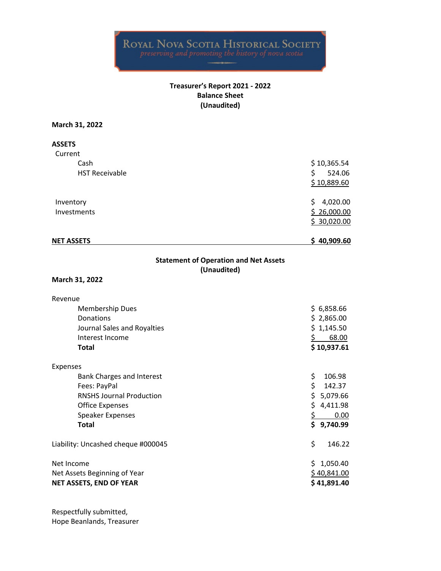#### **Treasurer's Report 2021 - 2022 Balance Sheet (Unaudited)**

#### **March 31, 2022**

| <b>ASSETS</b>         |                |
|-----------------------|----------------|
| Current               |                |
| Cash                  | \$10,365.54    |
| <b>HST Receivable</b> | 524.06<br>\$   |
|                       | \$10,889.60    |
| Inventory             | 4,020.00<br>S. |
| <b>Investments</b>    | \$26,000.00    |
|                       | \$30,020.00    |
| <b>NET ASSETS</b>     | \$40,909.60    |

### **Statement of Operation and Net Assets (Unaudited)**

#### **March 31, 2022**

| Revenue                            |                 |
|------------------------------------|-----------------|
| Membership Dues                    | \$6,858.66      |
| Donations                          | \$2,865.00      |
| Journal Sales and Royalties        | \$1,145.50      |
| Interest Income                    | 68.00           |
| <b>Total</b>                       | \$10,937.61     |
| Expenses                           |                 |
| Bank Charges and Interest          | \$<br>106.98    |
| Fees: PayPal                       | \$<br>142.37    |
| <b>RNSHS Journal Production</b>    | \$.<br>5,079.66 |
| <b>Office Expenses</b>             | \$.<br>4,411.98 |
| Speaker Expenses                   | 0.00            |
| <b>Total</b>                       | \$9,740.99      |
| Liability: Uncashed cheque #000045 | \$<br>146.22    |
| Net Income                         | 1,050.40<br>Ś.  |
| Net Assets Beginning of Year       | \$40,841.00     |
| NET ASSETS, END OF YEAR            | \$41,891.40     |
|                                    |                 |

Respectfully submitted, Hope Beanlands, Treasurer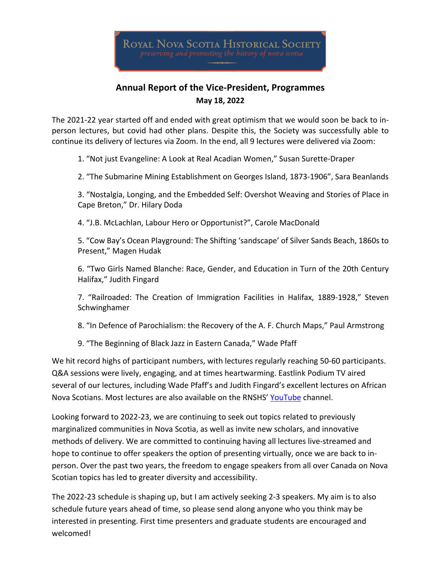## **Annual Report of the Vice-President, Programmes May 18, 2022**

The 2021-22 year started off and ended with great optimism that we would soon be back to inperson lectures, but covid had other plans. Despite this, the Society was successfully able to continue its delivery of lectures via Zoom. In the end, all 9 lectures were delivered via Zoom:

1. "Not just Evangeline: A Look at Real Acadian Women," Susan Surette-Draper

2. "The Submarine Mining Establishment on Georges Island, 1873-1906", Sara Beanlands

3. "Nostalgia, Longing, and the Embedded Self: Overshot Weaving and Stories of Place in Cape Breton," Dr. Hilary Doda

4. "J.B. McLachlan, Labour Hero or Opportunist?", Carole MacDonald

5. "Cow Bay's Ocean Playground: The Shifting 'sandscape' of Silver Sands Beach, 1860s to Present," Magen Hudak

6. "Two Girls Named Blanche: Race, Gender, and Education in Turn of the 20th Century Halifax," Judith Fingard

7. "Railroaded: The Creation of Immigration Facilities in Halifax, 1889-1928," Steven Schwinghamer

8. "In Defence of Parochialism: the Recovery of the A. F. Church Maps," Paul Armstrong

9. "The Beginning of Black Jazz in Eastern Canada," Wade Pfaff

We hit record highs of participant numbers, with lectures regularly reaching 50-60 participants. Q&A sessions were lively, engaging, and at times heartwarming. Eastlink Podium TV aired several of our lectures, including Wade Pfaff's and Judith Fingard's excellent lectures on African Nova Scotians. Most lectures are also available on the RNSHS' YouTube channel.

Looking forward to 2022-23, we are continuing to seek out topics related to previously marginalized communities in Nova Scotia, as well as invite new scholars, and innovative methods of delivery. We are committed to continuing having all lectures live-streamed and hope to continue to offer speakers the option of presenting virtually, once we are back to inperson. Over the past two years, the freedom to engage speakers from all over Canada on Nova Scotian topics has led to greater diversity and accessibility.

The 2022-23 schedule is shaping up, but I am actively seeking 2-3 speakers. My aim is to also schedule future years ahead of time, so please send along anyone who you think may be interested in presenting. First time presenters and graduate students are encouraged and welcomed!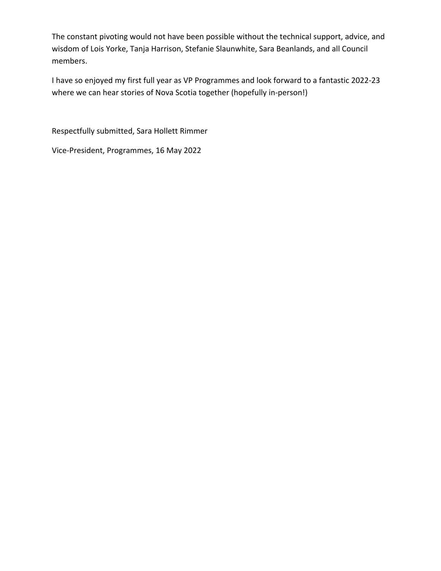The constant pivoting would not have been possible without the technical support, advice, and wisdom of Lois Yorke, Tanja Harrison, Stefanie Slaunwhite, Sara Beanlands, and all Council members.

I have so enjoyed my first full year as VP Programmes and look forward to a fantastic 2022-23 where we can hear stories of Nova Scotia together (hopefully in-person!)

Respectfully submitted, Sara Hollett Rimmer

Vice-President, Programmes, 16 May 2022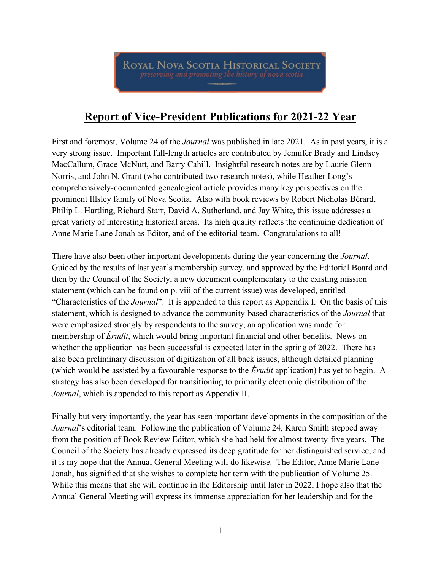ROYAL NOVA SCOTIA HISTORICAL SOCIETY preserving and promoting the history of nova scotia

# **Report of Vice-President Publications for 2021-22 Year**

First and foremost, Volume 24 of the *Journal* was published in late 2021. As in past years, it is a very strong issue. Important full-length articles are contributed by Jennifer Brady and Lindsey MacCallum, Grace McNutt, and Barry Cahill. Insightful research notes are by Laurie Glenn Norris, and John N. Grant (who contributed two research notes), while Heather Long's comprehensively-documented genealogical article provides many key perspectives on the prominent Illsley family of Nova Scotia. Also with book reviews by Robert Nicholas Bérard, Philip L. Hartling, Richard Starr, David A. Sutherland, and Jay White, this issue addresses a great variety of interesting historical areas. Its high quality reflects the continuing dedication of Anne Marie Lane Jonah as Editor, and of the editorial team. Congratulations to all!

There have also been other important developments during the year concerning the *Journal*. Guided by the results of last year's membership survey, and approved by the Editorial Board and then by the Council of the Society, a new document complementary to the existing mission statement (which can be found on p. viii of the current issue) was developed, entitled "Characteristics of the *Journal*". It is appended to this report as Appendix I. On the basis of this statement, which is designed to advance the community-based characteristics of the *Journal* that were emphasized strongly by respondents to the survey, an application was made for membership of *Érudit*, which would bring important financial and other benefits. News on whether the application has been successful is expected later in the spring of 2022. There has also been preliminary discussion of digitization of all back issues, although detailed planning (which would be assisted by a favourable response to the *Érudit* application) has yet to begin. A strategy has also been developed for transitioning to primarily electronic distribution of the *Journal*, which is appended to this report as Appendix II.

Finally but very importantly, the year has seen important developments in the composition of the *Journal*'s editorial team. Following the publication of Volume 24, Karen Smith stepped away from the position of Book Review Editor, which she had held for almost twenty-five years. The Council of the Society has already expressed its deep gratitude for her distinguished service, and it is my hope that the Annual General Meeting will do likewise. The Editor, Anne Marie Lane Jonah, has signified that she wishes to complete her term with the publication of Volume 25. While this means that she will continue in the Editorship until later in 2022, I hope also that the Annual General Meeting will express its immense appreciation for her leadership and for the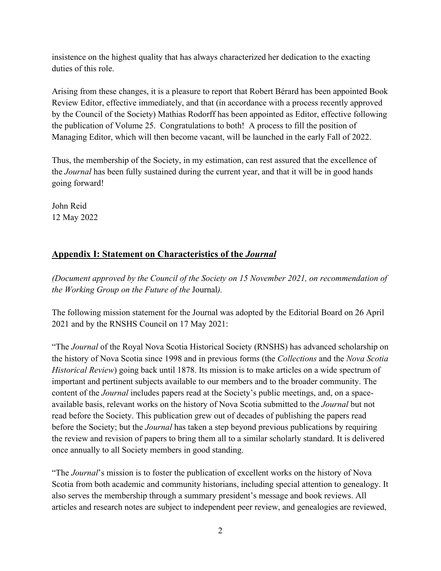insistence on the highest quality that has always characterized her dedication to the exacting duties of this role.

Arising from these changes, it is a pleasure to report that Robert Bérard has been appointed Book Review Editor, effective immediately, and that (in accordance with a process recently approved by the Council of the Society) Mathias Rodorff has been appointed as Editor, effective following the publication of Volume 25. Congratulations to both! A process to fill the position of Managing Editor, which will then become vacant, will be launched in the early Fall of 2022.

Thus, the membership of the Society, in my estimation, can rest assured that the excellence of the *Journal* has been fully sustained during the current year, and that it will be in good hands going forward!

John Reid 12 May 2022

## **Appendix I: Statement on Characteristics of the** *Journal*

*(Document approved by the Council of the Society on 15 November 2021, on recommendation of the Working Group on the Future of the* Journal*).*

The following mission statement for the Journal was adopted by the Editorial Board on 26 April 2021 and by the RNSHS Council on 17 May 2021:

"The *Journal* of the Royal Nova Scotia Historical Society (RNSHS) has advanced scholarship on the history of Nova Scotia since 1998 and in previous forms (the *Collections* and the *Nova Scotia Historical Review*) going back until 1878. Its mission is to make articles on a wide spectrum of important and pertinent subjects available to our members and to the broader community. The content of the *Journal* includes papers read at the Society's public meetings, and, on a spaceavailable basis, relevant works on the history of Nova Scotia submitted to the *Journal* but not read before the Society. This publication grew out of decades of publishing the papers read before the Society; but the *Journal* has taken a step beyond previous publications by requiring the review and revision of papers to bring them all to a similar scholarly standard. It is delivered once annually to all Society members in good standing.

"The *Journal*'s mission is to foster the publication of excellent works on the history of Nova Scotia from both academic and community historians, including special attention to genealogy. It also serves the membership through a summary president's message and book reviews. All articles and research notes are subject to independent peer review, and genealogies are reviewed,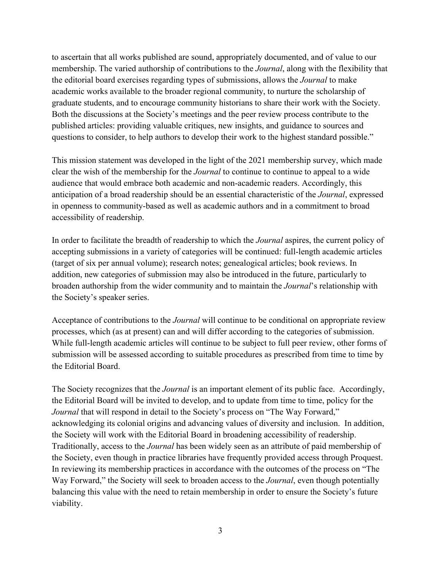to ascertain that all works published are sound, appropriately documented, and of value to our membership. The varied authorship of contributions to the *Journal*, along with the flexibility that the editorial board exercises regarding types of submissions, allows the *Journal* to make academic works available to the broader regional community, to nurture the scholarship of graduate students, and to encourage community historians to share their work with the Society. Both the discussions at the Society's meetings and the peer review process contribute to the published articles: providing valuable critiques, new insights, and guidance to sources and questions to consider, to help authors to develop their work to the highest standard possible."

This mission statement was developed in the light of the 2021 membership survey, which made clear the wish of the membership for the *Journal* to continue to continue to appeal to a wide audience that would embrace both academic and non-academic readers. Accordingly, this anticipation of a broad readership should be an essential characteristic of the *Journal*, expressed in openness to community-based as well as academic authors and in a commitment to broad accessibility of readership.

In order to facilitate the breadth of readership to which the *Journal* aspires, the current policy of accepting submissions in a variety of categories will be continued: full-length academic articles (target of six per annual volume); research notes; genealogical articles; book reviews. In addition, new categories of submission may also be introduced in the future, particularly to broaden authorship from the wider community and to maintain the *Journal*'s relationship with the Society's speaker series.

Acceptance of contributions to the *Journal* will continue to be conditional on appropriate review processes, which (as at present) can and will differ according to the categories of submission. While full-length academic articles will continue to be subject to full peer review, other forms of submission will be assessed according to suitable procedures as prescribed from time to time by the Editorial Board.

The Society recognizes that the *Journal* is an important element of its public face. Accordingly, the Editorial Board will be invited to develop, and to update from time to time, policy for the *Journal* that will respond in detail to the Society's process on "The Way Forward," acknowledging its colonial origins and advancing values of diversity and inclusion. In addition, the Society will work with the Editorial Board in broadening accessibility of readership. Traditionally, access to the *Journal* has been widely seen as an attribute of paid membership of the Society, even though in practice libraries have frequently provided access through Proquest. In reviewing its membership practices in accordance with the outcomes of the process on "The Way Forward," the Society will seek to broaden access to the *Journal*, even though potentially balancing this value with the need to retain membership in order to ensure the Society's future viability.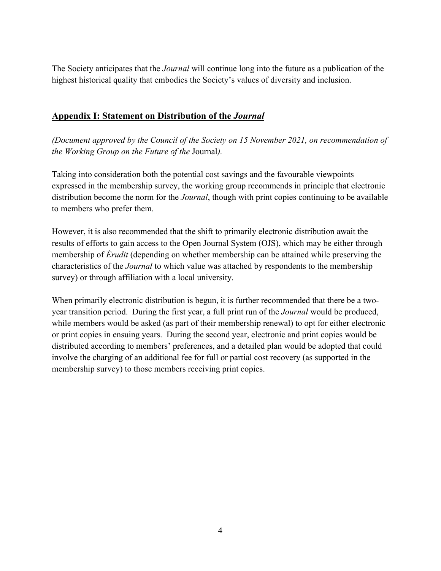The Society anticipates that the *Journal* will continue long into the future as a publication of the highest historical quality that embodies the Society's values of diversity and inclusion.

## **Appendix I: Statement on Distribution of the** *Journal*

*(Document approved by the Council of the Society on 15 November 2021, on recommendation of the Working Group on the Future of the* Journal*).*

Taking into consideration both the potential cost savings and the favourable viewpoints expressed in the membership survey, the working group recommends in principle that electronic distribution become the norm for the *Journal*, though with print copies continuing to be available to members who prefer them.

However, it is also recommended that the shift to primarily electronic distribution await the results of efforts to gain access to the Open Journal System (OJS), which may be either through membership of *Érudit* (depending on whether membership can be attained while preserving the characteristics of the *Journal* to which value was attached by respondents to the membership survey) or through affiliation with a local university.

When primarily electronic distribution is begun, it is further recommended that there be a twoyear transition period. During the first year, a full print run of the *Journal* would be produced, while members would be asked (as part of their membership renewal) to opt for either electronic or print copies in ensuing years. During the second year, electronic and print copies would be distributed according to members' preferences, and a detailed plan would be adopted that could involve the charging of an additional fee for full or partial cost recovery (as supported in the membership survey) to those members receiving print copies.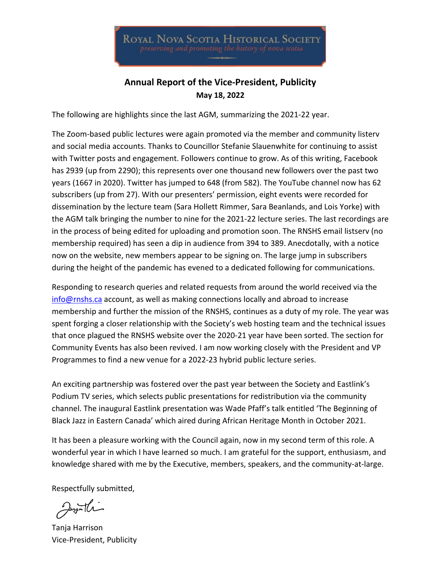**ROYAL NOVA SCOTIA HISTORICAL SOCIETY** 

## **Annual Report of the Vice-President, Publicity May 18, 2022**

The following are highlights since the last AGM, summarizing the 2021-22 year.

The Zoom-based public lectures were again promoted via the member and community listerv and social media accounts. Thanks to Councillor Stefanie Slauenwhite for continuing to assist with Twitter posts and engagement. Followers continue to grow. As of this writing, Facebook has 2939 (up from 2290); this represents over one thousand new followers over the past two years (1667 in 2020). Twitter has jumped to 648 (from 582). The YouTube channel now has 62 subscribers (up from 27). With our presenters' permission, eight events were recorded for dissemination by the lecture team (Sara Hollett Rimmer, Sara Beanlands, and Lois Yorke) with the AGM talk bringing the number to nine for the 2021-22 lecture series. The last recordings are in the process of being edited for uploading and promotion soon. The RNSHS email listserv (no membership required) has seen a dip in audience from 394 to 389. Anecdotally, with a notice now on the website, new members appear to be signing on. The large jump in subscribers during the height of the pandemic has evened to a dedicated following for communications.

Responding to research queries and related requests from around the world received via the [info@rnshs.ca](mailto:info@rnshs.ca) account, as well as making connections locally and abroad to increase membership and further the mission of the RNSHS, continues as a duty of my role. The year was spent forging a closer relationship with the Society's web hosting team and the technical issues that once plagued the RNSHS website over the 2020-21 year have been sorted. The section for Community Events has also been revived. I am now working closely with the President and VP Programmes to find a new venue for a 2022-23 hybrid public lecture series.

An exciting partnership was fostered over the past year between the Society and Eastlink's Podium TV series, which selects public presentations for redistribution via the community channel. The inaugural Eastlink presentation was Wade Pfaff's talk entitled 'The Beginning of Black Jazz in Eastern Canada' which aired during African Heritage Month in October 2021.

It has been a pleasure working with the Council again, now in my second term of this role. A wonderful year in which I have learned so much. I am grateful for the support, enthusiasm, and knowledge shared with me by the Executive, members, speakers, and the community-at-large.

Respectfully submitted,

Jugilli

Tanja Harrison Vice-President, Publicity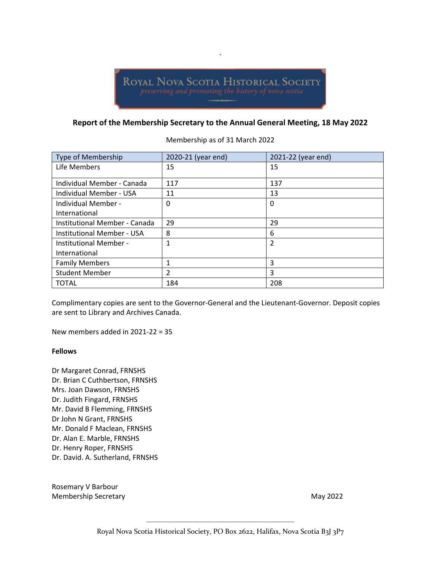`

#### **Report of the Membership Secretary to the Annual General Meeting, 18 May 2022**

Membership as of 31 March 2022

| Type of Membership            | 2020-21 (year end) | 2021-22 (year end) |
|-------------------------------|--------------------|--------------------|
| Life Members                  | 15                 | 15                 |
| Individual Member - Canada    | 117                | 137                |
| Individual Member - USA       | 11                 | 13                 |
| Individual Member -           | 0                  | 0                  |
| International                 |                    |                    |
| Institutional Member - Canada | 29                 | 29                 |
| Institutional Member - USA    | 8                  | 6                  |
| Institutional Member -        | 1                  | $\overline{2}$     |
| International                 |                    |                    |
| <b>Family Members</b>         |                    | 3                  |
| <b>Student Member</b>         | 2                  | 3                  |
| <b>TOTAL</b>                  | 184                | 208                |

Complimentary copies are sent to the Governor-General and the Lieutenant-Governor. Deposit copies are sent to Library and Archives Canada.

New members added in 2021-22 = 35

#### **Fellows**

Dr Margaret Conrad, FRNSHS Dr. Brian C Cuthbertson, FRNSHS Mrs. Joan Dawson, FRNSHS Dr. Judith Fingard, FRNSHS Mr. David B Flemming, FRNSHS Dr John N Grant, FRNSHS Mr. Donald F Maclean, FRNSHS Dr. Alan E. Marble, FRNSHS Dr. Henry Roper, FRNSHS Dr. David. A. Sutherland, FRNSHS

Rosemary V Barbour Membership Secretary **May 2022**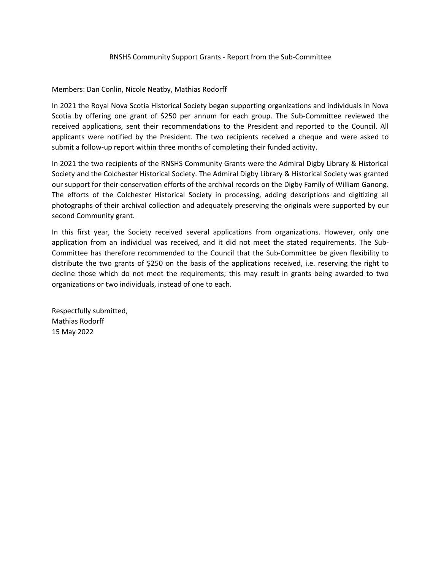#### RNSHS Community Support Grants - Report from the Sub-Committee

Members: Dan Conlin, Nicole Neatby, Mathias Rodorff

In 2021 the Royal Nova Scotia Historical Society began supporting organizations and individuals in Nova Scotia by offering one grant of \$250 per annum for each group. The Sub-Committee reviewed the received applications, sent their recommendations to the President and reported to the Council. All applicants were notified by the President. The two recipients received a cheque and were asked to submit a follow-up report within three months of completing their funded activity.

In 2021 the two recipients of the RNSHS Community Grants were the Admiral Digby Library & Historical Society and the Colchester Historical Society. The Admiral Digby Library & Historical Society was granted our support for their conservation efforts of the archival records on the Digby Family of William Ganong. The efforts of the Colchester Historical Society in processing, adding descriptions and digitizing all photographs of their archival collection and adequately preserving the originals were supported by our second Community grant.

In this first year, the Society received several applications from organizations. However, only one application from an individual was received, and it did not meet the stated requirements. The Sub-Committee has therefore recommended to the Council that the Sub-Committee be given flexibility to distribute the two grants of \$250 on the basis of the applications received, i.e. reserving the right to decline those which do not meet the requirements; this may result in grants being awarded to two organizations or two individuals, instead of one to each.

Respectfully submitted, Mathias Rodorff 15 May 2022